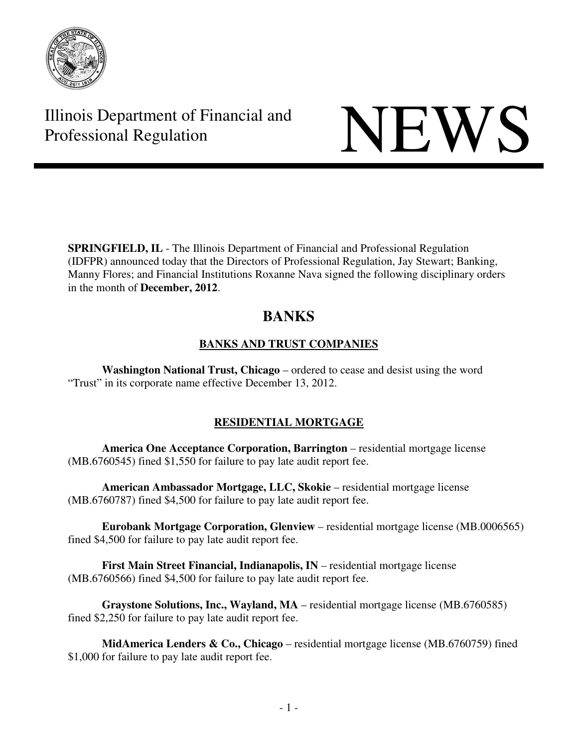

# Illinois Department of Financial and Illinois Department of Financial and<br>Professional Regulation

**SPRINGFIELD, IL** - The Illinois Department of Financial and Professional Regulation (IDFPR) announced today that the Directors of Professional Regulation, Jay Stewart; Banking, Manny Flores; and Financial Institutions Roxanne Nava signed the following disciplinary orders in the month of **December, 2012**.

# **BANKS**

## **BANKS AND TRUST COMPANIES**

 **Washington National Trust, Chicago** – ordered to cease and desist using the word "Trust" in its corporate name effective December 13, 2012.

# **RESIDENTIAL MORTGAGE**

**America One Acceptance Corporation, Barrington** – residential mortgage license (MB.6760545) fined \$1,550 for failure to pay late audit report fee.

**American Ambassador Mortgage, LLC, Skokie** – residential mortgage license (MB.6760787) fined \$4,500 for failure to pay late audit report fee.

 **Eurobank Mortgage Corporation, Glenview** – residential mortgage license (MB.0006565) fined \$4,500 for failure to pay late audit report fee.

**First Main Street Financial, Indianapolis, IN** – residential mortgage license (MB.6760566) fined \$4,500 for failure to pay late audit report fee.

 **Graystone Solutions, Inc., Wayland, MA** – residential mortgage license (MB.6760585) fined \$2,250 for failure to pay late audit report fee.

**MidAmerica Lenders & Co., Chicago** – residential mortgage license (MB.6760759) fined \$1,000 for failure to pay late audit report fee.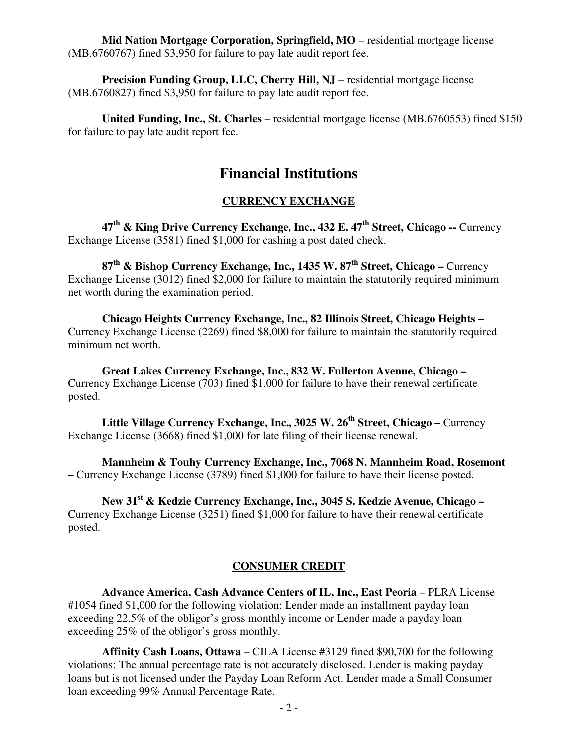**Mid Nation Mortgage Corporation, Springfield, MO** – residential mortgage license (MB.6760767) fined \$3,950 for failure to pay late audit report fee.

**Precision Funding Group, LLC, Cherry Hill, NJ** – residential mortgage license (MB.6760827) fined \$3,950 for failure to pay late audit report fee.

 **United Funding, Inc., St. Charles** – residential mortgage license (MB.6760553) fined \$150 for failure to pay late audit report fee.

# **Financial Institutions**

### **CURRENCY EXCHANGE**

 **47th & King Drive Currency Exchange, Inc., 432 E. 47th Street, Chicago --** Currency Exchange License (3581) fined \$1,000 for cashing a post dated check.

 **87th & Bishop Currency Exchange, Inc., 1435 W. 87th Street, Chicago –** Currency Exchange License (3012) fined \$2,000 for failure to maintain the statutorily required minimum net worth during the examination period.

 **Chicago Heights Currency Exchange, Inc., 82 Illinois Street, Chicago Heights –**  Currency Exchange License (2269) fined \$8,000 for failure to maintain the statutorily required minimum net worth.

 **Great Lakes Currency Exchange, Inc., 832 W. Fullerton Avenue, Chicago –**  Currency Exchange License (703) fined \$1,000 for failure to have their renewal certificate posted.

 **Little Village Currency Exchange, Inc., 3025 W. 26th Street, Chicago –** Currency Exchange License (3668) fined \$1,000 for late filing of their license renewal.

 **Mannheim & Touhy Currency Exchange, Inc., 7068 N. Mannheim Road, Rosemont –** Currency Exchange License (3789) fined \$1,000 for failure to have their license posted.

 **New 31st & Kedzie Currency Exchange, Inc., 3045 S. Kedzie Avenue, Chicago –**  Currency Exchange License (3251) fined \$1,000 for failure to have their renewal certificate posted.

### **CONSUMER CREDIT**

**Advance America, Cash Advance Centers of IL, Inc., East Peoria - PLRA License** #1054 fined \$1,000 for the following violation: Lender made an installment payday loan exceeding 22.5% of the obligor's gross monthly income or Lender made a payday loan exceeding 25% of the obligor's gross monthly.

 **Affinity Cash Loans, Ottawa** – CILA License #3129 fined \$90,700 for the following violations: The annual percentage rate is not accurately disclosed. Lender is making payday loans but is not licensed under the Payday Loan Reform Act. Lender made a Small Consumer loan exceeding 99% Annual Percentage Rate.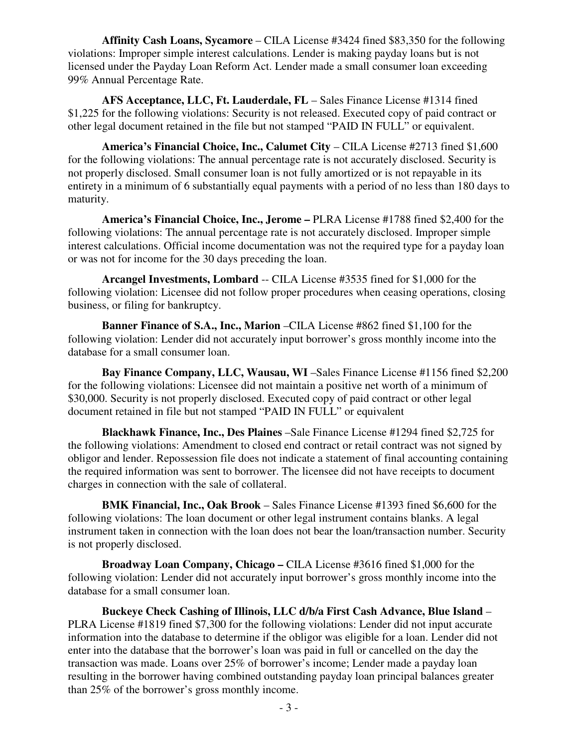**Affinity Cash Loans, Sycamore** – CILA License #3424 fined \$83,350 for the following violations: Improper simple interest calculations. Lender is making payday loans but is not licensed under the Payday Loan Reform Act. Lender made a small consumer loan exceeding 99% Annual Percentage Rate.

 **AFS Acceptance, LLC, Ft. Lauderdale, FL** – Sales Finance License #1314 fined \$1,225 for the following violations: Security is not released. Executed copy of paid contract or other legal document retained in the file but not stamped "PAID IN FULL" or equivalent.

 **America's Financial Choice, Inc., Calumet City** – CILA License #2713 fined \$1,600 for the following violations: The annual percentage rate is not accurately disclosed. Security is not properly disclosed. Small consumer loan is not fully amortized or is not repayable in its entirety in a minimum of 6 substantially equal payments with a period of no less than 180 days to maturity.

 **America's Financial Choice, Inc., Jerome –** PLRA License #1788 fined \$2,400 for the following violations: The annual percentage rate is not accurately disclosed. Improper simple interest calculations. Official income documentation was not the required type for a payday loan or was not for income for the 30 days preceding the loan.

 **Arcangel Investments, Lombard** -- CILA License #3535 fined for \$1,000 for the following violation: Licensee did not follow proper procedures when ceasing operations, closing business, or filing for bankruptcy.

 **Banner Finance of S.A., Inc., Marion** –CILA License #862 fined \$1,100 for the following violation: Lender did not accurately input borrower's gross monthly income into the database for a small consumer loan.

 **Bay Finance Company, LLC, Wausau, WI** –Sales Finance License #1156 fined \$2,200 for the following violations: Licensee did not maintain a positive net worth of a minimum of \$30,000. Security is not properly disclosed. Executed copy of paid contract or other legal document retained in file but not stamped "PAID IN FULL" or equivalent

 **Blackhawk Finance, Inc., Des Plaines** –Sale Finance License #1294 fined \$2,725 for the following violations: Amendment to closed end contract or retail contract was not signed by obligor and lender. Repossession file does not indicate a statement of final accounting containing the required information was sent to borrower. The licensee did not have receipts to document charges in connection with the sale of collateral.

 **BMK Financial, Inc., Oak Brook** – Sales Finance License #1393 fined \$6,600 for the following violations: The loan document or other legal instrument contains blanks. A legal instrument taken in connection with the loan does not bear the loan/transaction number. Security is not properly disclosed.

 **Broadway Loan Company, Chicago –** CILA License #3616 fined \$1,000 for the following violation: Lender did not accurately input borrower's gross monthly income into the database for a small consumer loan.

 **Buckeye Check Cashing of Illinois, LLC d/b/a First Cash Advance, Blue Island** – PLRA License #1819 fined \$7,300 for the following violations: Lender did not input accurate information into the database to determine if the obligor was eligible for a loan. Lender did not enter into the database that the borrower's loan was paid in full or cancelled on the day the transaction was made. Loans over 25% of borrower's income; Lender made a payday loan resulting in the borrower having combined outstanding payday loan principal balances greater than 25% of the borrower's gross monthly income.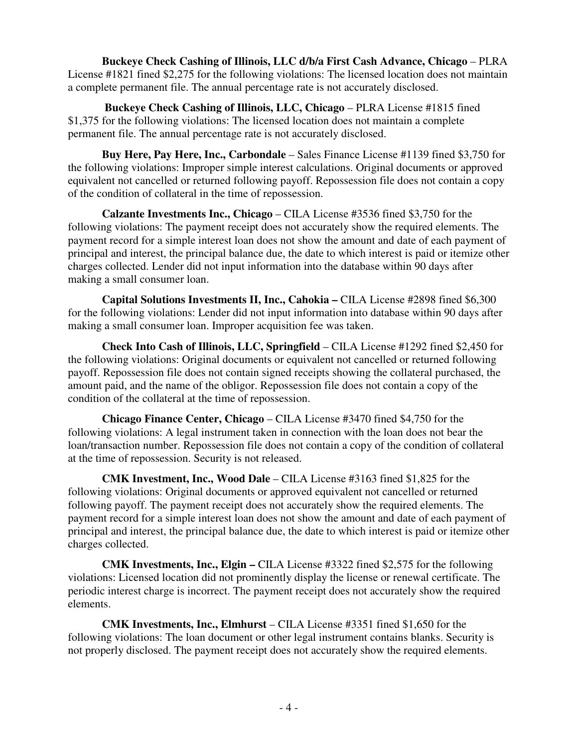**Buckeye Check Cashing of Illinois, LLC d/b/a First Cash Advance, Chicago** – PLRA License #1821 fined \$2,275 for the following violations: The licensed location does not maintain a complete permanent file. The annual percentage rate is not accurately disclosed.

**Buckeye Check Cashing of Illinois, LLC, Chicago – PLRA License #1815 fined** \$1,375 for the following violations: The licensed location does not maintain a complete permanent file. The annual percentage rate is not accurately disclosed.

 **Buy Here, Pay Here, Inc., Carbondale** – Sales Finance License #1139 fined \$3,750 for the following violations: Improper simple interest calculations. Original documents or approved equivalent not cancelled or returned following payoff. Repossession file does not contain a copy of the condition of collateral in the time of repossession.

 **Calzante Investments Inc., Chicago** – CILA License #3536 fined \$3,750 for the following violations: The payment receipt does not accurately show the required elements. The payment record for a simple interest loan does not show the amount and date of each payment of principal and interest, the principal balance due, the date to which interest is paid or itemize other charges collected. Lender did not input information into the database within 90 days after making a small consumer loan.

 **Capital Solutions Investments II, Inc., Cahokia –** CILA License #2898 fined \$6,300 for the following violations: Lender did not input information into database within 90 days after making a small consumer loan. Improper acquisition fee was taken.

 **Check Into Cash of Illinois, LLC, Springfield** – CILA License #1292 fined \$2,450 for the following violations: Original documents or equivalent not cancelled or returned following payoff. Repossession file does not contain signed receipts showing the collateral purchased, the amount paid, and the name of the obligor. Repossession file does not contain a copy of the condition of the collateral at the time of repossession.

 **Chicago Finance Center, Chicago** – CILA License #3470 fined \$4,750 for the following violations: A legal instrument taken in connection with the loan does not bear the loan/transaction number. Repossession file does not contain a copy of the condition of collateral at the time of repossession. Security is not released.

 **CMK Investment, Inc., Wood Dale** – CILA License #3163 fined \$1,825 for the following violations: Original documents or approved equivalent not cancelled or returned following payoff. The payment receipt does not accurately show the required elements. The payment record for a simple interest loan does not show the amount and date of each payment of principal and interest, the principal balance due, the date to which interest is paid or itemize other charges collected.

 **CMK Investments, Inc., Elgin –** CILA License #3322 fined \$2,575 for the following violations: Licensed location did not prominently display the license or renewal certificate. The periodic interest charge is incorrect. The payment receipt does not accurately show the required elements.

 **CMK Investments, Inc., Elmhurst** – CILA License #3351 fined \$1,650 for the following violations: The loan document or other legal instrument contains blanks. Security is not properly disclosed. The payment receipt does not accurately show the required elements.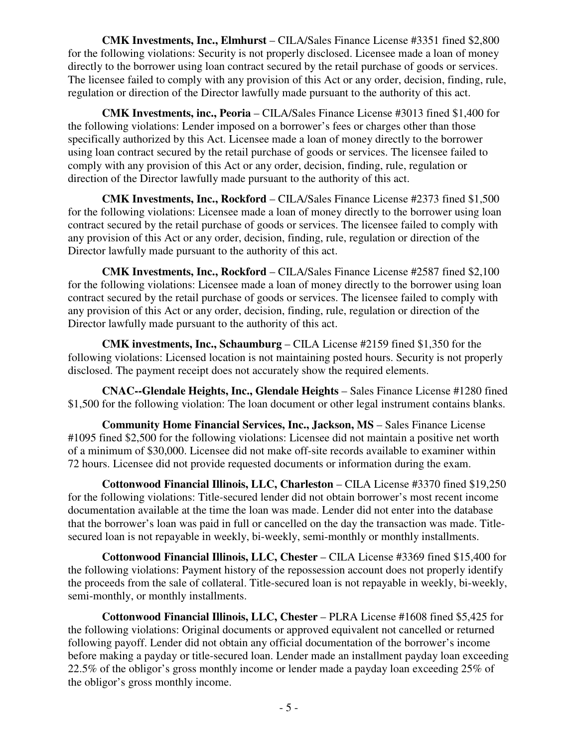**CMK Investments, Inc., Elmhurst** – CILA/Sales Finance License #3351 fined \$2,800 for the following violations: Security is not properly disclosed. Licensee made a loan of money directly to the borrower using loan contract secured by the retail purchase of goods or services. The licensee failed to comply with any provision of this Act or any order, decision, finding, rule, regulation or direction of the Director lawfully made pursuant to the authority of this act.

 **CMK Investments, inc., Peoria** – CILA/Sales Finance License #3013 fined \$1,400 for the following violations: Lender imposed on a borrower's fees or charges other than those specifically authorized by this Act. Licensee made a loan of money directly to the borrower using loan contract secured by the retail purchase of goods or services. The licensee failed to comply with any provision of this Act or any order, decision, finding, rule, regulation or direction of the Director lawfully made pursuant to the authority of this act.

 **CMK Investments, Inc., Rockford** – CILA/Sales Finance License #2373 fined \$1,500 for the following violations: Licensee made a loan of money directly to the borrower using loan contract secured by the retail purchase of goods or services. The licensee failed to comply with any provision of this Act or any order, decision, finding, rule, regulation or direction of the Director lawfully made pursuant to the authority of this act.

 **CMK Investments, Inc., Rockford** – CILA/Sales Finance License #2587 fined \$2,100 for the following violations: Licensee made a loan of money directly to the borrower using loan contract secured by the retail purchase of goods or services. The licensee failed to comply with any provision of this Act or any order, decision, finding, rule, regulation or direction of the Director lawfully made pursuant to the authority of this act.

 **CMK investments, Inc., Schaumburg** – CILA License #2159 fined \$1,350 for the following violations: Licensed location is not maintaining posted hours. Security is not properly disclosed. The payment receipt does not accurately show the required elements.

 **CNAC--Glendale Heights, Inc., Glendale Heights** – Sales Finance License #1280 fined \$1,500 for the following violation: The loan document or other legal instrument contains blanks.

**Community Home Financial Services, Inc., Jackson, MS - Sales Finance License** #1095 fined \$2,500 for the following violations: Licensee did not maintain a positive net worth of a minimum of \$30,000. Licensee did not make off-site records available to examiner within 72 hours. Licensee did not provide requested documents or information during the exam.

 **Cottonwood Financial Illinois, LLC, Charleston** – CILA License #3370 fined \$19,250 for the following violations: Title-secured lender did not obtain borrower's most recent income documentation available at the time the loan was made. Lender did not enter into the database that the borrower's loan was paid in full or cancelled on the day the transaction was made. Titlesecured loan is not repayable in weekly, bi-weekly, semi-monthly or monthly installments.

 **Cottonwood Financial Illinois, LLC, Chester** – CILA License #3369 fined \$15,400 for the following violations: Payment history of the repossession account does not properly identify the proceeds from the sale of collateral. Title-secured loan is not repayable in weekly, bi-weekly, semi-monthly, or monthly installments.

 **Cottonwood Financial Illinois, LLC, Chester** – PLRA License #1608 fined \$5,425 for the following violations: Original documents or approved equivalent not cancelled or returned following payoff. Lender did not obtain any official documentation of the borrower's income before making a payday or title-secured loan. Lender made an installment payday loan exceeding 22.5% of the obligor's gross monthly income or lender made a payday loan exceeding 25% of the obligor's gross monthly income.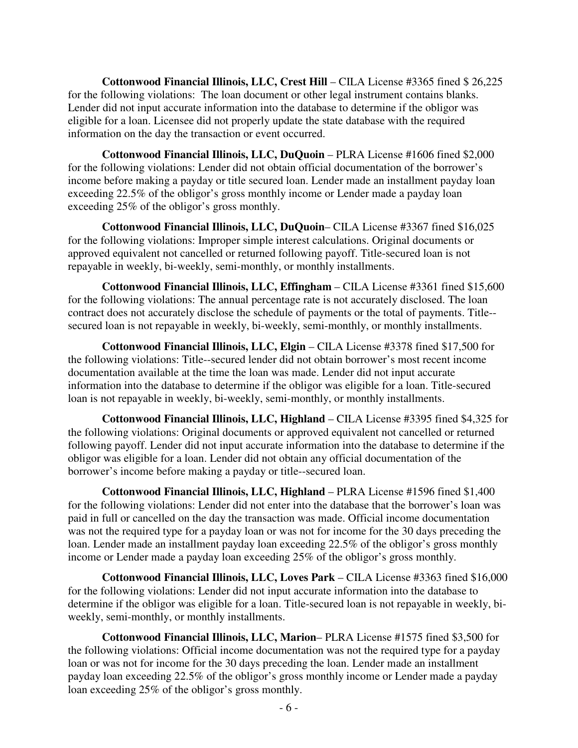**Cottonwood Financial Illinois, LLC, Crest Hill** – CILA License #3365 fined \$ 26,225 for the following violations: The loan document or other legal instrument contains blanks. Lender did not input accurate information into the database to determine if the obligor was eligible for a loan. Licensee did not properly update the state database with the required information on the day the transaction or event occurred.

 **Cottonwood Financial Illinois, LLC, DuQuoin** – PLRA License #1606 fined \$2,000 for the following violations: Lender did not obtain official documentation of the borrower's income before making a payday or title secured loan. Lender made an installment payday loan exceeding 22.5% of the obligor's gross monthly income or Lender made a payday loan exceeding 25% of the obligor's gross monthly.

 **Cottonwood Financial Illinois, LLC, DuQuoin**– CILA License #3367 fined \$16,025 for the following violations: Improper simple interest calculations. Original documents or approved equivalent not cancelled or returned following payoff. Title-secured loan is not repayable in weekly, bi-weekly, semi-monthly, or monthly installments.

 **Cottonwood Financial Illinois, LLC, Effingham** – CILA License #3361 fined \$15,600 for the following violations: The annual percentage rate is not accurately disclosed. The loan contract does not accurately disclose the schedule of payments or the total of payments. Title- secured loan is not repayable in weekly, bi-weekly, semi-monthly, or monthly installments.

 **Cottonwood Financial Illinois, LLC, Elgin** – CILA License #3378 fined \$17,500 for the following violations: Title--secured lender did not obtain borrower's most recent income documentation available at the time the loan was made. Lender did not input accurate information into the database to determine if the obligor was eligible for a loan. Title-secured loan is not repayable in weekly, bi-weekly, semi-monthly, or monthly installments.

 **Cottonwood Financial Illinois, LLC, Highland** – CILA License #3395 fined \$4,325 for the following violations: Original documents or approved equivalent not cancelled or returned following payoff. Lender did not input accurate information into the database to determine if the obligor was eligible for a loan. Lender did not obtain any official documentation of the borrower's income before making a payday or title--secured loan.

 **Cottonwood Financial Illinois, LLC, Highland** – PLRA License #1596 fined \$1,400 for the following violations: Lender did not enter into the database that the borrower's loan was paid in full or cancelled on the day the transaction was made. Official income documentation was not the required type for a payday loan or was not for income for the 30 days preceding the loan. Lender made an installment payday loan exceeding 22.5% of the obligor's gross monthly income or Lender made a payday loan exceeding 25% of the obligor's gross monthly.

 **Cottonwood Financial Illinois, LLC, Loves Park** – CILA License #3363 fined \$16,000 for the following violations: Lender did not input accurate information into the database to determine if the obligor was eligible for a loan. Title-secured loan is not repayable in weekly, biweekly, semi-monthly, or monthly installments.

 **Cottonwood Financial Illinois, LLC, Marion**– PLRA License #1575 fined \$3,500 for the following violations: Official income documentation was not the required type for a payday loan or was not for income for the 30 days preceding the loan. Lender made an installment payday loan exceeding 22.5% of the obligor's gross monthly income or Lender made a payday loan exceeding 25% of the obligor's gross monthly.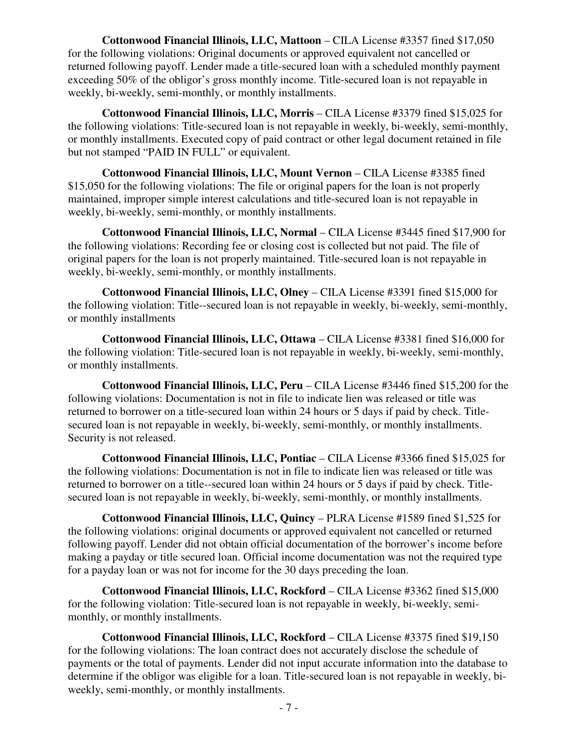**Cottonwood Financial Illinois, LLC, Mattoon** – CILA License #3357 fined \$17,050 for the following violations: Original documents or approved equivalent not cancelled or returned following payoff. Lender made a title-secured loan with a scheduled monthly payment exceeding 50% of the obligor's gross monthly income. Title-secured loan is not repayable in weekly, bi-weekly, semi-monthly, or monthly installments.

 **Cottonwood Financial Illinois, LLC, Morris** – CILA License #3379 fined \$15,025 for the following violations: Title-secured loan is not repayable in weekly, bi-weekly, semi-monthly, or monthly installments. Executed copy of paid contract or other legal document retained in file but not stamped "PAID IN FULL" or equivalent.

 **Cottonwood Financial Illinois, LLC, Mount Vernon** – CILA License #3385 fined \$15,050 for the following violations: The file or original papers for the loan is not properly maintained, improper simple interest calculations and title-secured loan is not repayable in weekly, bi-weekly, semi-monthly, or monthly installments.

 **Cottonwood Financial Illinois, LLC, Normal** – CILA License #3445 fined \$17,900 for the following violations: Recording fee or closing cost is collected but not paid. The file of original papers for the loan is not properly maintained. Title-secured loan is not repayable in weekly, bi-weekly, semi-monthly, or monthly installments.

 **Cottonwood Financial Illinois, LLC, Olney** – CILA License #3391 fined \$15,000 for the following violation: Title--secured loan is not repayable in weekly, bi-weekly, semi-monthly, or monthly installments

 **Cottonwood Financial Illinois, LLC, Ottawa** – CILA License #3381 fined \$16,000 for the following violation: Title-secured loan is not repayable in weekly, bi-weekly, semi-monthly, or monthly installments.

 **Cottonwood Financial Illinois, LLC, Peru** – CILA License #3446 fined \$15,200 for the following violations: Documentation is not in file to indicate lien was released or title was returned to borrower on a title-secured loan within 24 hours or 5 days if paid by check. Titlesecured loan is not repayable in weekly, bi-weekly, semi-monthly, or monthly installments. Security is not released.

 **Cottonwood Financial Illinois, LLC, Pontiac** – CILA License #3366 fined \$15,025 for the following violations: Documentation is not in file to indicate lien was released or title was returned to borrower on a title--secured loan within 24 hours or 5 days if paid by check. Titlesecured loan is not repayable in weekly, bi-weekly, semi-monthly, or monthly installments.

 **Cottonwood Financial Illinois, LLC, Quincy** – PLRA License #1589 fined \$1,525 for the following violations: original documents or approved equivalent not cancelled or returned following payoff. Lender did not obtain official documentation of the borrower's income before making a payday or title secured loan. Official income documentation was not the required type for a payday loan or was not for income for the 30 days preceding the loan.

 **Cottonwood Financial Illinois, LLC, Rockford** – CILA License #3362 fined \$15,000 for the following violation: Title-secured loan is not repayable in weekly, bi-weekly, semimonthly, or monthly installments.

 **Cottonwood Financial Illinois, LLC, Rockford** – CILA License #3375 fined \$19,150 for the following violations: The loan contract does not accurately disclose the schedule of payments or the total of payments. Lender did not input accurate information into the database to determine if the obligor was eligible for a loan. Title-secured loan is not repayable in weekly, biweekly, semi-monthly, or monthly installments.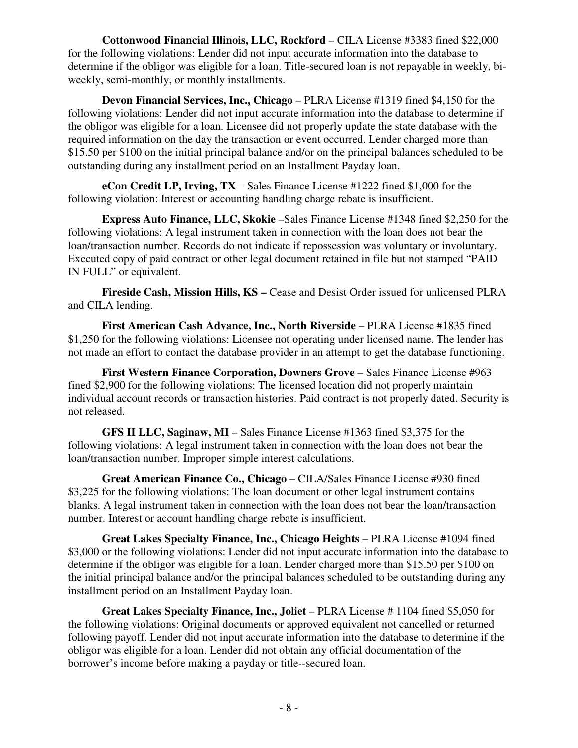**Cottonwood Financial Illinois, LLC, Rockford** – CILA License #3383 fined \$22,000 for the following violations: Lender did not input accurate information into the database to determine if the obligor was eligible for a loan. Title-secured loan is not repayable in weekly, biweekly, semi-monthly, or monthly installments.

 **Devon Financial Services, Inc., Chicago** – PLRA License #1319 fined \$4,150 for the following violations: Lender did not input accurate information into the database to determine if the obligor was eligible for a loan. Licensee did not properly update the state database with the required information on the day the transaction or event occurred. Lender charged more than \$15.50 per \$100 on the initial principal balance and/or on the principal balances scheduled to be outstanding during any installment period on an Installment Payday loan.

 **eCon Credit LP, Irving, TX** – Sales Finance License #1222 fined \$1,000 for the following violation: Interest or accounting handling charge rebate is insufficient.

 **Express Auto Finance, LLC, Skokie** –Sales Finance License #1348 fined \$2,250 for the following violations: A legal instrument taken in connection with the loan does not bear the loan/transaction number. Records do not indicate if repossession was voluntary or involuntary. Executed copy of paid contract or other legal document retained in file but not stamped "PAID IN FULL" or equivalent.

**Fireside Cash, Mission Hills, KS – Cease and Desist Order issued for unlicensed PLRA** and CILA lending.

 **First American Cash Advance, Inc., North Riverside** – PLRA License #1835 fined \$1,250 for the following violations: Licensee not operating under licensed name. The lender has not made an effort to contact the database provider in an attempt to get the database functioning.

 **First Western Finance Corporation, Downers Grove** – Sales Finance License #963 fined \$2,900 for the following violations: The licensed location did not properly maintain individual account records or transaction histories. Paid contract is not properly dated. Security is not released.

 **GFS II LLC, Saginaw, MI** – Sales Finance License #1363 fined \$3,375 for the following violations: A legal instrument taken in connection with the loan does not bear the loan/transaction number. Improper simple interest calculations.

 **Great American Finance Co., Chicago** – CILA/Sales Finance License #930 fined \$3,225 for the following violations: The loan document or other legal instrument contains blanks. A legal instrument taken in connection with the loan does not bear the loan/transaction number. Interest or account handling charge rebate is insufficient.

 **Great Lakes Specialty Finance, Inc., Chicago Heights** – PLRA License #1094 fined \$3,000 or the following violations: Lender did not input accurate information into the database to determine if the obligor was eligible for a loan. Lender charged more than \$15.50 per \$100 on the initial principal balance and/or the principal balances scheduled to be outstanding during any installment period on an Installment Payday loan.

 **Great Lakes Specialty Finance, Inc., Joliet** – PLRA License # 1104 fined \$5,050 for the following violations: Original documents or approved equivalent not cancelled or returned following payoff. Lender did not input accurate information into the database to determine if the obligor was eligible for a loan. Lender did not obtain any official documentation of the borrower's income before making a payday or title--secured loan.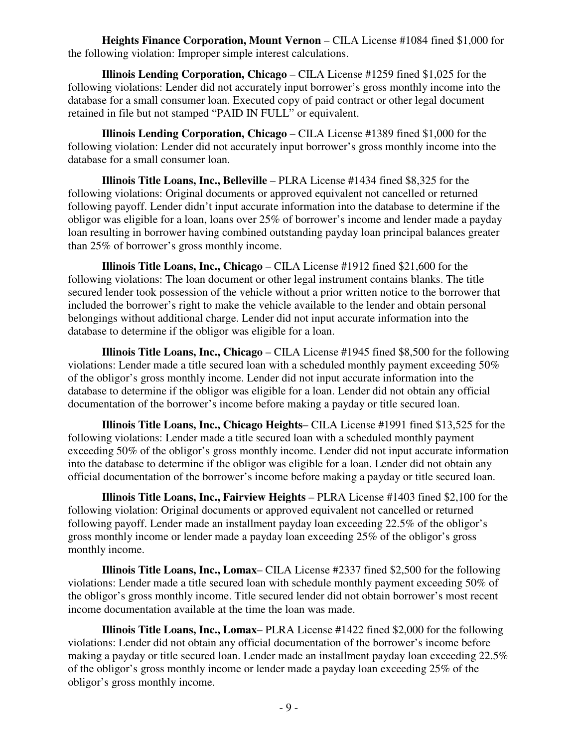**Heights Finance Corporation, Mount Vernon** – CILA License #1084 fined \$1,000 for the following violation: Improper simple interest calculations.

 **Illinois Lending Corporation, Chicago** – CILA License #1259 fined \$1,025 for the following violations: Lender did not accurately input borrower's gross monthly income into the database for a small consumer loan. Executed copy of paid contract or other legal document retained in file but not stamped "PAID IN FULL" or equivalent.

 **Illinois Lending Corporation, Chicago** – CILA License #1389 fined \$1,000 for the following violation: Lender did not accurately input borrower's gross monthly income into the database for a small consumer loan.

 **Illinois Title Loans, Inc., Belleville** – PLRA License #1434 fined \$8,325 for the following violations: Original documents or approved equivalent not cancelled or returned following payoff. Lender didn't input accurate information into the database to determine if the obligor was eligible for a loan, loans over 25% of borrower's income and lender made a payday loan resulting in borrower having combined outstanding payday loan principal balances greater than 25% of borrower's gross monthly income.

 **Illinois Title Loans, Inc., Chicago** – CILA License #1912 fined \$21,600 for the following violations: The loan document or other legal instrument contains blanks. The title secured lender took possession of the vehicle without a prior written notice to the borrower that included the borrower's right to make the vehicle available to the lender and obtain personal belongings without additional charge. Lender did not input accurate information into the database to determine if the obligor was eligible for a loan.

 **Illinois Title Loans, Inc., Chicago** – CILA License #1945 fined \$8,500 for the following violations: Lender made a title secured loan with a scheduled monthly payment exceeding 50% of the obligor's gross monthly income. Lender did not input accurate information into the database to determine if the obligor was eligible for a loan. Lender did not obtain any official documentation of the borrower's income before making a payday or title secured loan.

 **Illinois Title Loans, Inc., Chicago Heights**– CILA License #1991 fined \$13,525 for the following violations: Lender made a title secured loan with a scheduled monthly payment exceeding 50% of the obligor's gross monthly income. Lender did not input accurate information into the database to determine if the obligor was eligible for a loan. Lender did not obtain any official documentation of the borrower's income before making a payday or title secured loan.

 **Illinois Title Loans, Inc., Fairview Heights** – PLRA License #1403 fined \$2,100 for the following violation: Original documents or approved equivalent not cancelled or returned following payoff. Lender made an installment payday loan exceeding 22.5% of the obligor's gross monthly income or lender made a payday loan exceeding 25% of the obligor's gross monthly income.

 **Illinois Title Loans, Inc., Lomax**– CILA License #2337 fined \$2,500 for the following violations: Lender made a title secured loan with schedule monthly payment exceeding 50% of the obligor's gross monthly income. Title secured lender did not obtain borrower's most recent income documentation available at the time the loan was made.

 **Illinois Title Loans, Inc., Lomax**– PLRA License #1422 fined \$2,000 for the following violations: Lender did not obtain any official documentation of the borrower's income before making a payday or title secured loan. Lender made an installment payday loan exceeding 22.5% of the obligor's gross monthly income or lender made a payday loan exceeding 25% of the obligor's gross monthly income.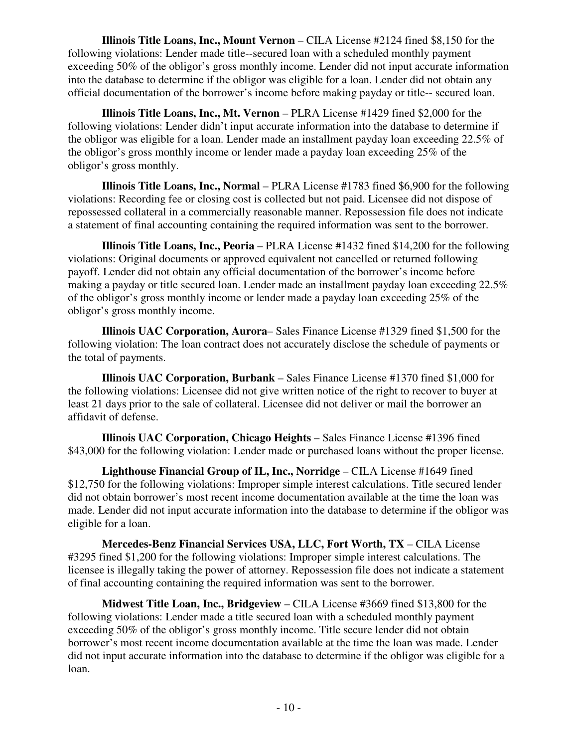**Illinois Title Loans, Inc., Mount Vernon** – CILA License #2124 fined \$8,150 for the following violations: Lender made title--secured loan with a scheduled monthly payment exceeding 50% of the obligor's gross monthly income. Lender did not input accurate information into the database to determine if the obligor was eligible for a loan. Lender did not obtain any official documentation of the borrower's income before making payday or title-- secured loan.

 **Illinois Title Loans, Inc., Mt. Vernon** – PLRA License #1429 fined \$2,000 for the following violations: Lender didn't input accurate information into the database to determine if the obligor was eligible for a loan. Lender made an installment payday loan exceeding 22.5% of the obligor's gross monthly income or lender made a payday loan exceeding 25% of the obligor's gross monthly.

 **Illinois Title Loans, Inc., Normal** – PLRA License #1783 fined \$6,900 for the following violations: Recording fee or closing cost is collected but not paid. Licensee did not dispose of repossessed collateral in a commercially reasonable manner. Repossession file does not indicate a statement of final accounting containing the required information was sent to the borrower.

**Illinois Title Loans, Inc., Peoria** – PLRA License #1432 fined \$14,200 for the following violations: Original documents or approved equivalent not cancelled or returned following payoff. Lender did not obtain any official documentation of the borrower's income before making a payday or title secured loan. Lender made an installment payday loan exceeding 22.5% of the obligor's gross monthly income or lender made a payday loan exceeding 25% of the obligor's gross monthly income.

 **Illinois UAC Corporation, Aurora**– Sales Finance License #1329 fined \$1,500 for the following violation: The loan contract does not accurately disclose the schedule of payments or the total of payments.

 **Illinois UAC Corporation, Burbank** – Sales Finance License #1370 fined \$1,000 for the following violations: Licensee did not give written notice of the right to recover to buyer at least 21 days prior to the sale of collateral. Licensee did not deliver or mail the borrower an affidavit of defense.

 **Illinois UAC Corporation, Chicago Heights** – Sales Finance License #1396 fined \$43,000 for the following violation: Lender made or purchased loans without the proper license.

 **Lighthouse Financial Group of IL, Inc., Norridge** – CILA License #1649 fined \$12,750 for the following violations: Improper simple interest calculations. Title secured lender did not obtain borrower's most recent income documentation available at the time the loan was made. Lender did not input accurate information into the database to determine if the obligor was eligible for a loan.

 **Mercedes-Benz Financial Services USA, LLC, Fort Worth, TX** – CILA License #3295 fined \$1,200 for the following violations: Improper simple interest calculations. The licensee is illegally taking the power of attorney. Repossession file does not indicate a statement of final accounting containing the required information was sent to the borrower.

 **Midwest Title Loan, Inc., Bridgeview** – CILA License #3669 fined \$13,800 for the following violations: Lender made a title secured loan with a scheduled monthly payment exceeding 50% of the obligor's gross monthly income. Title secure lender did not obtain borrower's most recent income documentation available at the time the loan was made. Lender did not input accurate information into the database to determine if the obligor was eligible for a loan.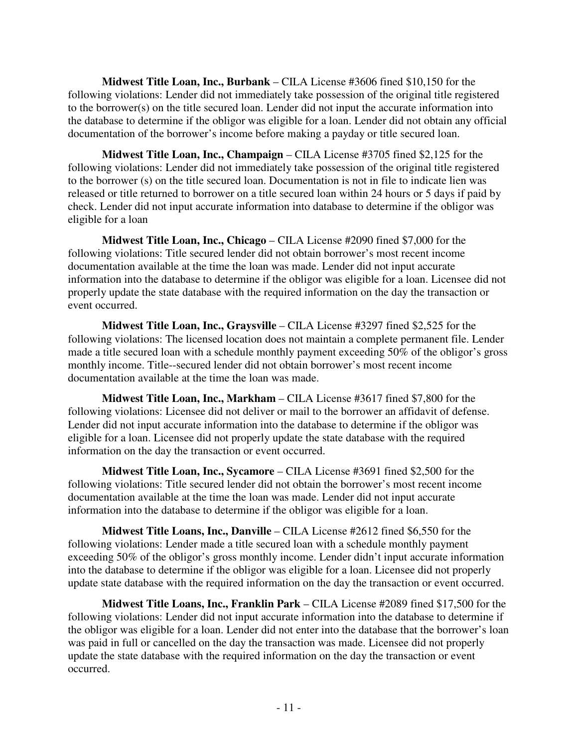**Midwest Title Loan, Inc., Burbank** – CILA License #3606 fined \$10,150 for the following violations: Lender did not immediately take possession of the original title registered to the borrower(s) on the title secured loan. Lender did not input the accurate information into the database to determine if the obligor was eligible for a loan. Lender did not obtain any official documentation of the borrower's income before making a payday or title secured loan.

 **Midwest Title Loan, Inc., Champaign** – CILA License #3705 fined \$2,125 for the following violations: Lender did not immediately take possession of the original title registered to the borrower (s) on the title secured loan. Documentation is not in file to indicate lien was released or title returned to borrower on a title secured loan within 24 hours or 5 days if paid by check. Lender did not input accurate information into database to determine if the obligor was eligible for a loan

 **Midwest Title Loan, Inc., Chicago** – CILA License #2090 fined \$7,000 for the following violations: Title secured lender did not obtain borrower's most recent income documentation available at the time the loan was made. Lender did not input accurate information into the database to determine if the obligor was eligible for a loan. Licensee did not properly update the state database with the required information on the day the transaction or event occurred.

 **Midwest Title Loan, Inc., Graysville** – CILA License #3297 fined \$2,525 for the following violations: The licensed location does not maintain a complete permanent file. Lender made a title secured loan with a schedule monthly payment exceeding 50% of the obligor's gross monthly income. Title--secured lender did not obtain borrower's most recent income documentation available at the time the loan was made.

 **Midwest Title Loan, Inc., Markham** – CILA License #3617 fined \$7,800 for the following violations: Licensee did not deliver or mail to the borrower an affidavit of defense. Lender did not input accurate information into the database to determine if the obligor was eligible for a loan. Licensee did not properly update the state database with the required information on the day the transaction or event occurred.

 **Midwest Title Loan, Inc., Sycamore** – CILA License #3691 fined \$2,500 for the following violations: Title secured lender did not obtain the borrower's most recent income documentation available at the time the loan was made. Lender did not input accurate information into the database to determine if the obligor was eligible for a loan.

 **Midwest Title Loans, Inc., Danville** – CILA License #2612 fined \$6,550 for the following violations: Lender made a title secured loan with a schedule monthly payment exceeding 50% of the obligor's gross monthly income. Lender didn't input accurate information into the database to determine if the obligor was eligible for a loan. Licensee did not properly update state database with the required information on the day the transaction or event occurred.

 **Midwest Title Loans, Inc., Franklin Park** – CILA License #2089 fined \$17,500 for the following violations: Lender did not input accurate information into the database to determine if the obligor was eligible for a loan. Lender did not enter into the database that the borrower's loan was paid in full or cancelled on the day the transaction was made. Licensee did not properly update the state database with the required information on the day the transaction or event occurred.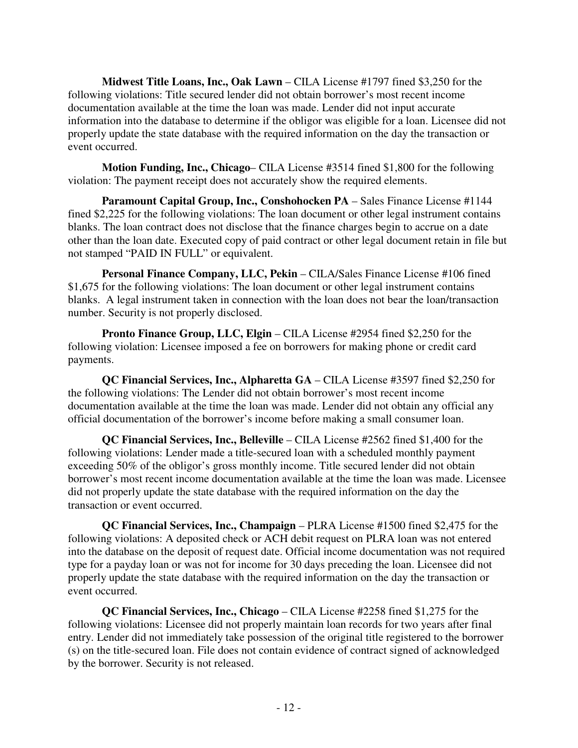**Midwest Title Loans, Inc., Oak Lawn** – CILA License #1797 fined \$3,250 for the following violations: Title secured lender did not obtain borrower's most recent income documentation available at the time the loan was made. Lender did not input accurate information into the database to determine if the obligor was eligible for a loan. Licensee did not properly update the state database with the required information on the day the transaction or event occurred.

 **Motion Funding, Inc., Chicago**– CILA License #3514 fined \$1,800 for the following violation: The payment receipt does not accurately show the required elements.

 **Paramount Capital Group, Inc., Conshohocken PA** – Sales Finance License #1144 fined \$2,225 for the following violations: The loan document or other legal instrument contains blanks. The loan contract does not disclose that the finance charges begin to accrue on a date other than the loan date. Executed copy of paid contract or other legal document retain in file but not stamped "PAID IN FULL" or equivalent.

 **Personal Finance Company, LLC, Pekin** – CILA/Sales Finance License #106 fined \$1,675 for the following violations: The loan document or other legal instrument contains blanks. A legal instrument taken in connection with the loan does not bear the loan/transaction number. Security is not properly disclosed.

 **Pronto Finance Group, LLC, Elgin** – CILA License #2954 fined \$2,250 for the following violation: Licensee imposed a fee on borrowers for making phone or credit card payments.

 **QC Financial Services, Inc., Alpharetta GA** – CILA License #3597 fined \$2,250 for the following violations: The Lender did not obtain borrower's most recent income documentation available at the time the loan was made. Lender did not obtain any official any official documentation of the borrower's income before making a small consumer loan.

 **QC Financial Services, Inc., Belleville** – CILA License #2562 fined \$1,400 for the following violations: Lender made a title-secured loan with a scheduled monthly payment exceeding 50% of the obligor's gross monthly income. Title secured lender did not obtain borrower's most recent income documentation available at the time the loan was made. Licensee did not properly update the state database with the required information on the day the transaction or event occurred.

 **QC Financial Services, Inc., Champaign** – PLRA License #1500 fined \$2,475 for the following violations: A deposited check or ACH debit request on PLRA loan was not entered into the database on the deposit of request date. Official income documentation was not required type for a payday loan or was not for income for 30 days preceding the loan. Licensee did not properly update the state database with the required information on the day the transaction or event occurred.

 **QC Financial Services, Inc., Chicago** – CILA License #2258 fined \$1,275 for the following violations: Licensee did not properly maintain loan records for two years after final entry. Lender did not immediately take possession of the original title registered to the borrower (s) on the title-secured loan. File does not contain evidence of contract signed of acknowledged by the borrower. Security is not released.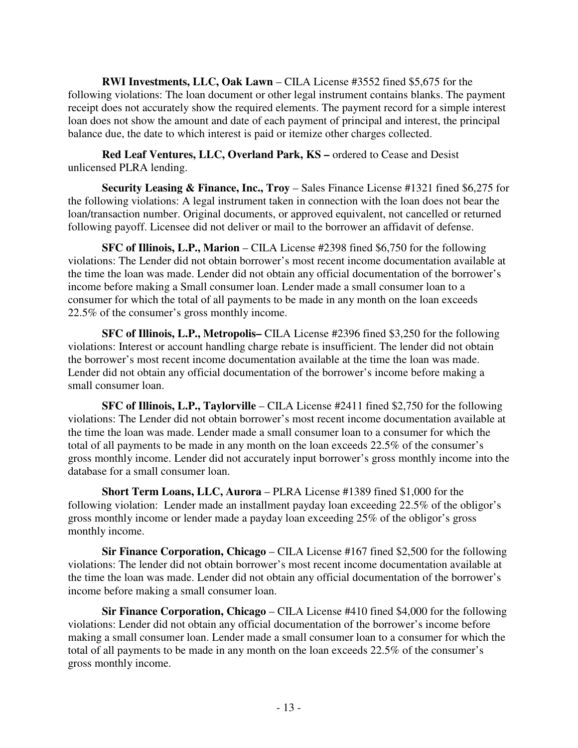**RWI Investments, LLC, Oak Lawn** – CILA License #3552 fined \$5,675 for the following violations: The loan document or other legal instrument contains blanks. The payment receipt does not accurately show the required elements. The payment record for a simple interest loan does not show the amount and date of each payment of principal and interest, the principal balance due, the date to which interest is paid or itemize other charges collected.

 **Red Leaf Ventures, LLC, Overland Park, KS –** ordered to Cease and Desist unlicensed PLRA lending.

 **Security Leasing & Finance, Inc., Troy** – Sales Finance License #1321 fined \$6,275 for the following violations: A legal instrument taken in connection with the loan does not bear the loan/transaction number. Original documents, or approved equivalent, not cancelled or returned following payoff. Licensee did not deliver or mail to the borrower an affidavit of defense.

 **SFC of Illinois, L.P., Marion** – CILA License #2398 fined \$6,750 for the following violations: The Lender did not obtain borrower's most recent income documentation available at the time the loan was made. Lender did not obtain any official documentation of the borrower's income before making a Small consumer loan. Lender made a small consumer loan to a consumer for which the total of all payments to be made in any month on the loan exceeds 22.5% of the consumer's gross monthly income.

 **SFC of Illinois, L.P., Metropolis–** CILA License #2396 fined \$3,250 for the following violations: Interest or account handling charge rebate is insufficient. The lender did not obtain the borrower's most recent income documentation available at the time the loan was made. Lender did not obtain any official documentation of the borrower's income before making a small consumer loan.

 **SFC of Illinois, L.P., Taylorville** – CILA License #2411 fined \$2,750 for the following violations: The Lender did not obtain borrower's most recent income documentation available at the time the loan was made. Lender made a small consumer loan to a consumer for which the total of all payments to be made in any month on the loan exceeds 22.5% of the consumer's gross monthly income. Lender did not accurately input borrower's gross monthly income into the database for a small consumer loan.

 **Short Term Loans, LLC, Aurora** – PLRA License #1389 fined \$1,000 for the following violation: Lender made an installment payday loan exceeding 22.5% of the obligor's gross monthly income or lender made a payday loan exceeding 25% of the obligor's gross monthly income.

 **Sir Finance Corporation, Chicago** – CILA License #167 fined \$2,500 for the following violations: The lender did not obtain borrower's most recent income documentation available at the time the loan was made. Lender did not obtain any official documentation of the borrower's income before making a small consumer loan.

 **Sir Finance Corporation, Chicago** – CILA License #410 fined \$4,000 for the following violations: Lender did not obtain any official documentation of the borrower's income before making a small consumer loan. Lender made a small consumer loan to a consumer for which the total of all payments to be made in any month on the loan exceeds 22.5% of the consumer's gross monthly income.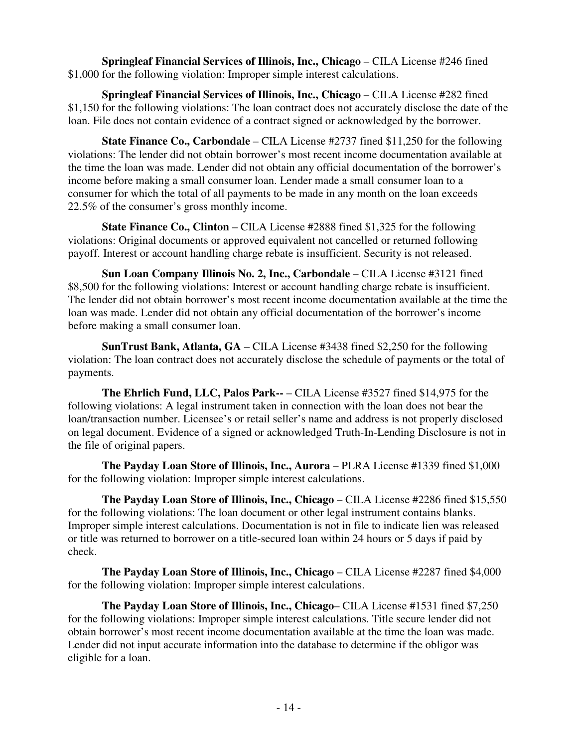**Springleaf Financial Services of Illinois, Inc., Chicago** – CILA License #246 fined \$1,000 for the following violation: Improper simple interest calculations.

**Springleaf Financial Services of Illinois, Inc., Chicago** – CILA License #282 fined \$1,150 for the following violations: The loan contract does not accurately disclose the date of the loan. File does not contain evidence of a contract signed or acknowledged by the borrower.

 **State Finance Co., Carbondale** – CILA License #2737 fined \$11,250 for the following violations: The lender did not obtain borrower's most recent income documentation available at the time the loan was made. Lender did not obtain any official documentation of the borrower's income before making a small consumer loan. Lender made a small consumer loan to a consumer for which the total of all payments to be made in any month on the loan exceeds 22.5% of the consumer's gross monthly income.

 **State Finance Co., Clinton** – CILA License #2888 fined \$1,325 for the following violations: Original documents or approved equivalent not cancelled or returned following payoff. Interest or account handling charge rebate is insufficient. Security is not released.

 **Sun Loan Company Illinois No. 2, Inc., Carbondale** – CILA License #3121 fined \$8,500 for the following violations: Interest or account handling charge rebate is insufficient. The lender did not obtain borrower's most recent income documentation available at the time the loan was made. Lender did not obtain any official documentation of the borrower's income before making a small consumer loan.

 **SunTrust Bank, Atlanta, GA** – CILA License #3438 fined \$2,250 for the following violation: The loan contract does not accurately disclose the schedule of payments or the total of payments.

 **The Ehrlich Fund, LLC, Palos Park--** – CILA License #3527 fined \$14,975 for the following violations: A legal instrument taken in connection with the loan does not bear the loan/transaction number. Licensee's or retail seller's name and address is not properly disclosed on legal document. Evidence of a signed or acknowledged Truth-In-Lending Disclosure is not in the file of original papers.

 **The Payday Loan Store of Illinois, Inc., Aurora** – PLRA License #1339 fined \$1,000 for the following violation: Improper simple interest calculations.

 **The Payday Loan Store of Illinois, Inc., Chicago** – CILA License #2286 fined \$15,550 for the following violations: The loan document or other legal instrument contains blanks. Improper simple interest calculations. Documentation is not in file to indicate lien was released or title was returned to borrower on a title-secured loan within 24 hours or 5 days if paid by check.

**The Payday Loan Store of Illinois, Inc., Chicago – CILA License #2287 fined \$4,000** for the following violation: Improper simple interest calculations.

**The Payday Loan Store of Illinois, Inc., Chicago**– CILA License #1531 fined \$7,250 for the following violations: Improper simple interest calculations. Title secure lender did not obtain borrower's most recent income documentation available at the time the loan was made. Lender did not input accurate information into the database to determine if the obligor was eligible for a loan.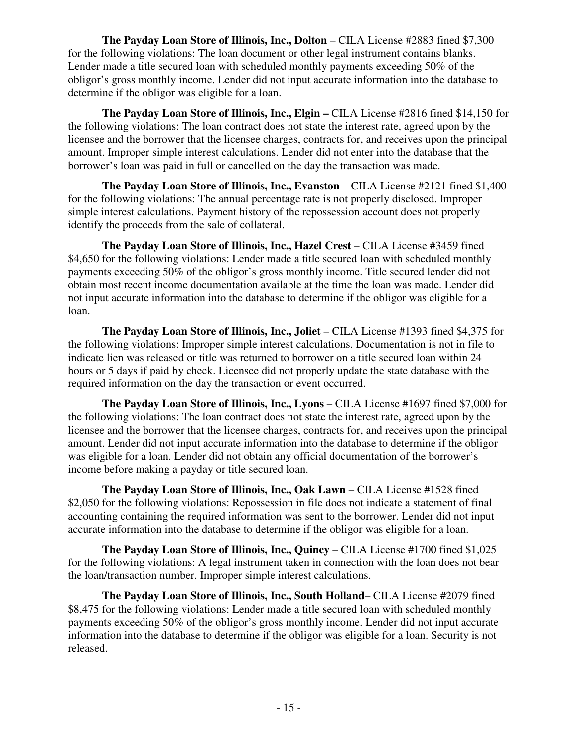**The Payday Loan Store of Illinois, Inc., Dolton – CILA License #2883 fined \$7,300** for the following violations: The loan document or other legal instrument contains blanks. Lender made a title secured loan with scheduled monthly payments exceeding 50% of the obligor's gross monthly income. Lender did not input accurate information into the database to determine if the obligor was eligible for a loan.

 **The Payday Loan Store of Illinois, Inc., Elgin –** CILA License #2816 fined \$14,150 for the following violations: The loan contract does not state the interest rate, agreed upon by the licensee and the borrower that the licensee charges, contracts for, and receives upon the principal amount. Improper simple interest calculations. Lender did not enter into the database that the borrower's loan was paid in full or cancelled on the day the transaction was made.

**The Payday Loan Store of Illinois, Inc., Evanston – CILA License #2121 fined \$1,400** for the following violations: The annual percentage rate is not properly disclosed. Improper simple interest calculations. Payment history of the repossession account does not properly identify the proceeds from the sale of collateral.

**The Payday Loan Store of Illinois, Inc., Hazel Crest – CILA License #3459 fined** \$4,650 for the following violations: Lender made a title secured loan with scheduled monthly payments exceeding 50% of the obligor's gross monthly income. Title secured lender did not obtain most recent income documentation available at the time the loan was made. Lender did not input accurate information into the database to determine if the obligor was eligible for a loan.

 **The Payday Loan Store of Illinois, Inc., Joliet** – CILA License #1393 fined \$4,375 for the following violations: Improper simple interest calculations. Documentation is not in file to indicate lien was released or title was returned to borrower on a title secured loan within 24 hours or 5 days if paid by check. Licensee did not properly update the state database with the required information on the day the transaction or event occurred.

 **The Payday Loan Store of Illinois, Inc., Lyons** – CILA License #1697 fined \$7,000 for the following violations: The loan contract does not state the interest rate, agreed upon by the licensee and the borrower that the licensee charges, contracts for, and receives upon the principal amount. Lender did not input accurate information into the database to determine if the obligor was eligible for a loan. Lender did not obtain any official documentation of the borrower's income before making a payday or title secured loan.

 **The Payday Loan Store of Illinois, Inc., Oak Lawn** – CILA License #1528 fined \$2,050 for the following violations: Repossession in file does not indicate a statement of final accounting containing the required information was sent to the borrower. Lender did not input accurate information into the database to determine if the obligor was eligible for a loan.

 **The Payday Loan Store of Illinois, Inc., Quincy** – CILA License #1700 fined \$1,025 for the following violations: A legal instrument taken in connection with the loan does not bear the loan/transaction number. Improper simple interest calculations.

 **The Payday Loan Store of Illinois, Inc., South Holland**– CILA License #2079 fined \$8,475 for the following violations: Lender made a title secured loan with scheduled monthly payments exceeding 50% of the obligor's gross monthly income. Lender did not input accurate information into the database to determine if the obligor was eligible for a loan. Security is not released.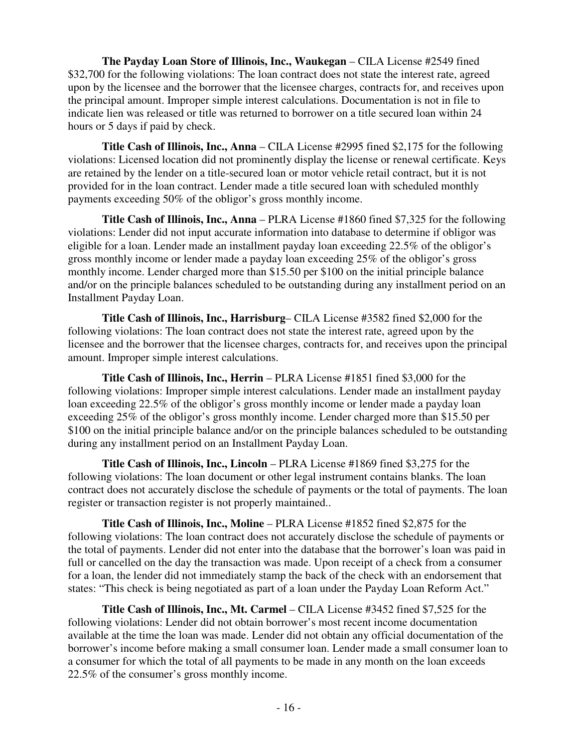**The Payday Loan Store of Illinois, Inc., Waukegan** – CILA License #2549 fined \$32,700 for the following violations: The loan contract does not state the interest rate, agreed upon by the licensee and the borrower that the licensee charges, contracts for, and receives upon the principal amount. Improper simple interest calculations. Documentation is not in file to indicate lien was released or title was returned to borrower on a title secured loan within 24 hours or 5 days if paid by check.

 **Title Cash of Illinois, Inc., Anna** – CILA License #2995 fined \$2,175 for the following violations: Licensed location did not prominently display the license or renewal certificate. Keys are retained by the lender on a title-secured loan or motor vehicle retail contract, but it is not provided for in the loan contract. Lender made a title secured loan with scheduled monthly payments exceeding 50% of the obligor's gross monthly income.

 **Title Cash of Illinois, Inc., Anna** – PLRA License #1860 fined \$7,325 for the following violations: Lender did not input accurate information into database to determine if obligor was eligible for a loan. Lender made an installment payday loan exceeding 22.5% of the obligor's gross monthly income or lender made a payday loan exceeding 25% of the obligor's gross monthly income. Lender charged more than \$15.50 per \$100 on the initial principle balance and/or on the principle balances scheduled to be outstanding during any installment period on an Installment Payday Loan.

 **Title Cash of Illinois, Inc., Harrisburg**– CILA License #3582 fined \$2,000 for the following violations: The loan contract does not state the interest rate, agreed upon by the licensee and the borrower that the licensee charges, contracts for, and receives upon the principal amount. Improper simple interest calculations.

 **Title Cash of Illinois, Inc., Herrin** – PLRA License #1851 fined \$3,000 for the following violations: Improper simple interest calculations. Lender made an installment payday loan exceeding 22.5% of the obligor's gross monthly income or lender made a payday loan exceeding 25% of the obligor's gross monthly income. Lender charged more than \$15.50 per \$100 on the initial principle balance and/or on the principle balances scheduled to be outstanding during any installment period on an Installment Payday Loan.

 **Title Cash of Illinois, Inc., Lincoln** – PLRA License #1869 fined \$3,275 for the following violations: The loan document or other legal instrument contains blanks. The loan contract does not accurately disclose the schedule of payments or the total of payments. The loan register or transaction register is not properly maintained..

 **Title Cash of Illinois, Inc., Moline** – PLRA License #1852 fined \$2,875 for the following violations: The loan contract does not accurately disclose the schedule of payments or the total of payments. Lender did not enter into the database that the borrower's loan was paid in full or cancelled on the day the transaction was made. Upon receipt of a check from a consumer for a loan, the lender did not immediately stamp the back of the check with an endorsement that states: "This check is being negotiated as part of a loan under the Payday Loan Reform Act."

 **Title Cash of Illinois, Inc., Mt. Carmel** – CILA License #3452 fined \$7,525 for the following violations: Lender did not obtain borrower's most recent income documentation available at the time the loan was made. Lender did not obtain any official documentation of the borrower's income before making a small consumer loan. Lender made a small consumer loan to a consumer for which the total of all payments to be made in any month on the loan exceeds 22.5% of the consumer's gross monthly income.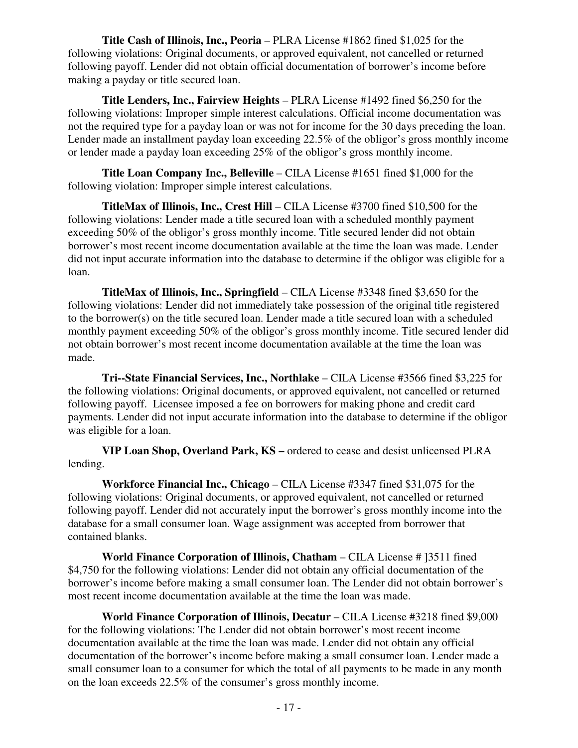**Title Cash of Illinois, Inc., Peoria** – PLRA License #1862 fined \$1,025 for the following violations: Original documents, or approved equivalent, not cancelled or returned following payoff. Lender did not obtain official documentation of borrower's income before making a payday or title secured loan.

 **Title Lenders, Inc., Fairview Heights** – PLRA License #1492 fined \$6,250 for the following violations: Improper simple interest calculations. Official income documentation was not the required type for a payday loan or was not for income for the 30 days preceding the loan. Lender made an installment payday loan exceeding 22.5% of the obligor's gross monthly income or lender made a payday loan exceeding 25% of the obligor's gross monthly income.

**Title Loan Company Inc., Belleville** – CILA License #1651 fined \$1,000 for the following violation: Improper simple interest calculations.

 **TitleMax of Illinois, Inc., Crest Hill** – CILA License #3700 fined \$10,500 for the following violations: Lender made a title secured loan with a scheduled monthly payment exceeding 50% of the obligor's gross monthly income. Title secured lender did not obtain borrower's most recent income documentation available at the time the loan was made. Lender did not input accurate information into the database to determine if the obligor was eligible for a loan.

 **TitleMax of Illinois, Inc., Springfield** – CILA License #3348 fined \$3,650 for the following violations: Lender did not immediately take possession of the original title registered to the borrower(s) on the title secured loan. Lender made a title secured loan with a scheduled monthly payment exceeding 50% of the obligor's gross monthly income. Title secured lender did not obtain borrower's most recent income documentation available at the time the loan was made.

 **Tri--State Financial Services, Inc., Northlake** – CILA License #3566 fined \$3,225 for the following violations: Original documents, or approved equivalent, not cancelled or returned following payoff. Licensee imposed a fee on borrowers for making phone and credit card payments. Lender did not input accurate information into the database to determine if the obligor was eligible for a loan.

 **VIP Loan Shop, Overland Park, KS –** ordered to cease and desist unlicensed PLRA lending.

 **Workforce Financial Inc., Chicago** – CILA License #3347 fined \$31,075 for the following violations: Original documents, or approved equivalent, not cancelled or returned following payoff. Lender did not accurately input the borrower's gross monthly income into the database for a small consumer loan. Wage assignment was accepted from borrower that contained blanks.

 **World Finance Corporation of Illinois, Chatham** – CILA License # ]3511 fined \$4,750 for the following violations: Lender did not obtain any official documentation of the borrower's income before making a small consumer loan. The Lender did not obtain borrower's most recent income documentation available at the time the loan was made.

**World Finance Corporation of Illinois, Decatur – CILA License #3218 fined \$9,000** for the following violations: The Lender did not obtain borrower's most recent income documentation available at the time the loan was made. Lender did not obtain any official documentation of the borrower's income before making a small consumer loan. Lender made a small consumer loan to a consumer for which the total of all payments to be made in any month on the loan exceeds 22.5% of the consumer's gross monthly income.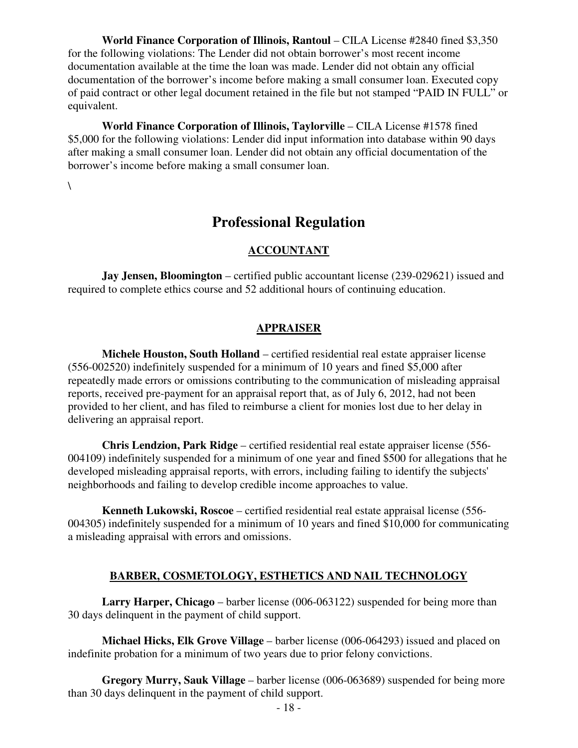**World Finance Corporation of Illinois, Rantoul – CILA License #2840 fined \$3,350** for the following violations: The Lender did not obtain borrower's most recent income documentation available at the time the loan was made. Lender did not obtain any official documentation of the borrower's income before making a small consumer loan. Executed copy of paid contract or other legal document retained in the file but not stamped "PAID IN FULL" or equivalent.

 **World Finance Corporation of Illinois, Taylorville** – CILA License #1578 fined \$5,000 for the following violations: Lender did input information into database within 90 days after making a small consumer loan. Lender did not obtain any official documentation of the borrower's income before making a small consumer loan.

 $\setminus$ 

# **Professional Regulation**

#### **ACCOUNTANT**

**Jay Jensen, Bloomington** – certified public accountant license (239-029621) issued and required to complete ethics course and 52 additional hours of continuing education.

#### **APPRAISER**

 **Michele Houston, South Holland** – certified residential real estate appraiser license (556-002520) indefinitely suspended for a minimum of 10 years and fined \$5,000 after repeatedly made errors or omissions contributing to the communication of misleading appraisal reports, received pre-payment for an appraisal report that, as of July 6, 2012, had not been provided to her client, and has filed to reimburse a client for monies lost due to her delay in delivering an appraisal report.

 **Chris Lendzion, Park Ridge** – certified residential real estate appraiser license (556- 004109) indefinitely suspended for a minimum of one year and fined \$500 for allegations that he developed misleading appraisal reports, with errors, including failing to identify the subjects' neighborhoods and failing to develop credible income approaches to value.

 **Kenneth Lukowski, Roscoe** – certified residential real estate appraisal license (556- 004305) indefinitely suspended for a minimum of 10 years and fined \$10,000 for communicating a misleading appraisal with errors and omissions.

#### **BARBER, COSMETOLOGY, ESTHETICS AND NAIL TECHNOLOGY**

 **Larry Harper, Chicago** – barber license (006-063122) suspended for being more than 30 days delinquent in the payment of child support.

 **Michael Hicks, Elk Grove Village** – barber license (006-064293) issued and placed on indefinite probation for a minimum of two years due to prior felony convictions.

 **Gregory Murry, Sauk Village** – barber license (006-063689) suspended for being more than 30 days delinquent in the payment of child support.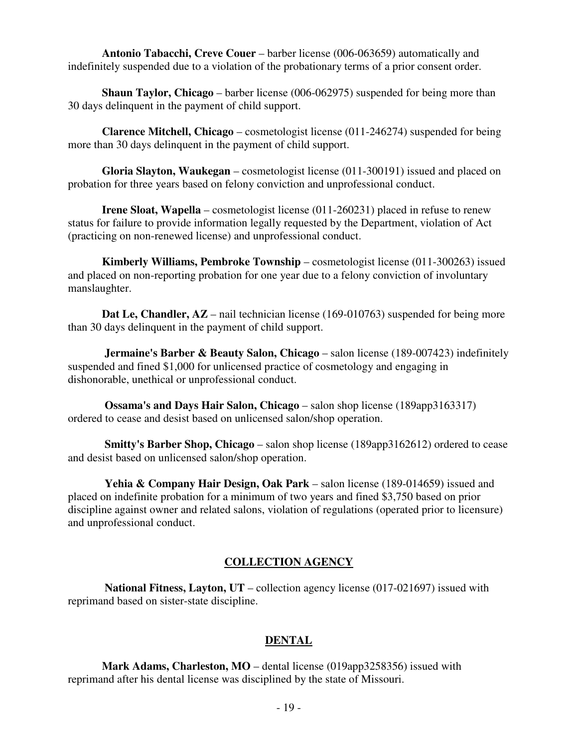**Antonio Tabacchi, Creve Couer** – barber license (006-063659) automatically and indefinitely suspended due to a violation of the probationary terms of a prior consent order.

 **Shaun Taylor, Chicago** – barber license (006-062975) suspended for being more than 30 days delinquent in the payment of child support.

 **Clarence Mitchell, Chicago** – cosmetologist license (011-246274) suspended for being more than 30 days delinquent in the payment of child support.

 **Gloria Slayton, Waukegan** – cosmetologist license (011-300191) issued and placed on probation for three years based on felony conviction and unprofessional conduct.

**Irene Sloat, Wapella** – cosmetologist license (011-260231) placed in refuse to renew status for failure to provide information legally requested by the Department, violation of Act (practicing on non-renewed license) and unprofessional conduct.

 **Kimberly Williams, Pembroke Township** – cosmetologist license (011-300263) issued and placed on non-reporting probation for one year due to a felony conviction of involuntary manslaughter.

**Dat Le, Chandler, AZ** – nail technician license (169-010763) suspended for being more than 30 days delinquent in the payment of child support.

**Jermaine's Barber & Beauty Salon, Chicago** – salon license (189-007423) indefinitely suspended and fined \$1,000 for unlicensed practice of cosmetology and engaging in dishonorable, unethical or unprofessional conduct.

 **Ossama's and Days Hair Salon, Chicago** – salon shop license (189app3163317) ordered to cease and desist based on unlicensed salon/shop operation.

 **Smitty's Barber Shop, Chicago** – salon shop license (189app3162612) ordered to cease and desist based on unlicensed salon/shop operation.

 **Yehia & Company Hair Design, Oak Park** – salon license (189-014659) issued and placed on indefinite probation for a minimum of two years and fined \$3,750 based on prior discipline against owner and related salons, violation of regulations (operated prior to licensure) and unprofessional conduct.

#### **COLLECTION AGENCY**

 **National Fitness, Layton, UT** – collection agency license (017-021697) issued with reprimand based on sister-state discipline.

#### **DENTAL**

 **Mark Adams, Charleston, MO** – dental license (019app3258356) issued with reprimand after his dental license was disciplined by the state of Missouri.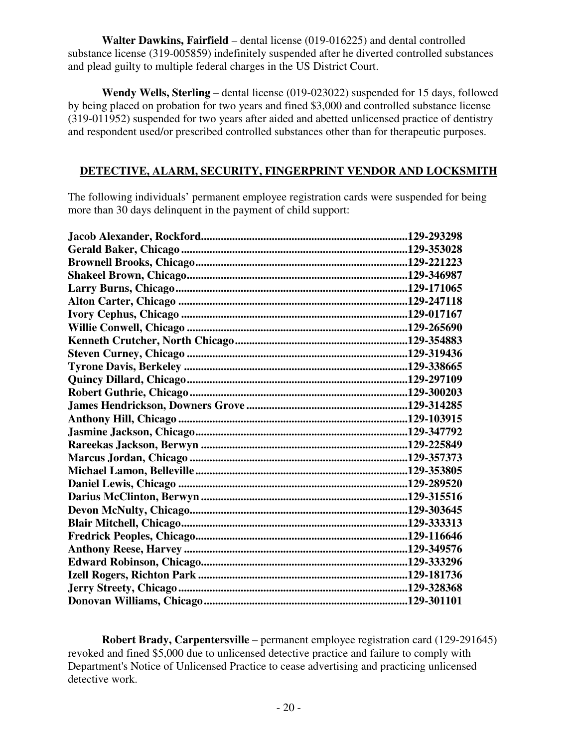**Walter Dawkins, Fairfield** – dental license (019-016225) and dental controlled substance license (319-005859) indefinitely suspended after he diverted controlled substances and plead guilty to multiple federal charges in the US District Court.

 **Wendy Wells, Sterling** – dental license (019-023022) suspended for 15 days, followed by being placed on probation for two years and fined \$3,000 and controlled substance license (319-011952) suspended for two years after aided and abetted unlicensed practice of dentistry and respondent used/or prescribed controlled substances other than for therapeutic purposes.

#### **DETECTIVE, ALARM, SECURITY, FINGERPRINT VENDOR AND LOCKSMITH**

The following individuals' permanent employee registration cards were suspended for being more than 30 days delinquent in the payment of child support:

 **Robert Brady, Carpentersville** – permanent employee registration card (129-291645) revoked and fined \$5,000 due to unlicensed detective practice and failure to comply with Department's Notice of Unlicensed Practice to cease advertising and practicing unlicensed detective work.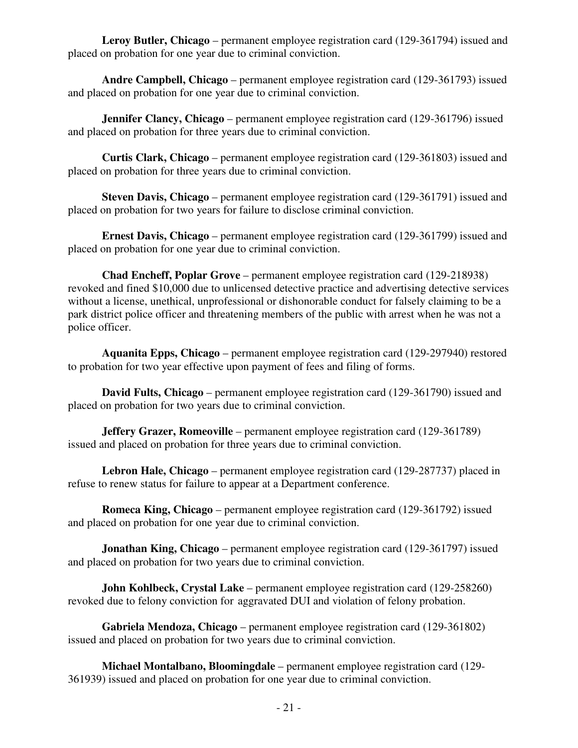**Leroy Butler, Chicago** – permanent employee registration card (129-361794) issued and placed on probation for one year due to criminal conviction.

 **Andre Campbell, Chicago** – permanent employee registration card (129-361793) issued and placed on probation for one year due to criminal conviction.

**Jennifer Clancy, Chicago** – permanent employee registration card (129-361796) issued and placed on probation for three years due to criminal conviction.

 **Curtis Clark, Chicago** – permanent employee registration card (129-361803) issued and placed on probation for three years due to criminal conviction.

 **Steven Davis, Chicago** – permanent employee registration card (129-361791) issued and placed on probation for two years for failure to disclose criminal conviction.

 **Ernest Davis, Chicago** – permanent employee registration card (129-361799) issued and placed on probation for one year due to criminal conviction.

 **Chad Encheff, Poplar Grove** – permanent employee registration card (129-218938) revoked and fined \$10,000 due to unlicensed detective practice and advertising detective services without a license, unethical, unprofessional or dishonorable conduct for falsely claiming to be a park district police officer and threatening members of the public with arrest when he was not a police officer.

 **Aquanita Epps, Chicago** – permanent employee registration card (129-297940) restored to probation for two year effective upon payment of fees and filing of forms.

 **David Fults, Chicago** – permanent employee registration card (129-361790) issued and placed on probation for two years due to criminal conviction.

**Jeffery Grazer, Romeoville** – permanent employee registration card (129-361789) issued and placed on probation for three years due to criminal conviction.

 **Lebron Hale, Chicago** – permanent employee registration card (129-287737) placed in refuse to renew status for failure to appear at a Department conference.

 **Romeca King, Chicago** – permanent employee registration card (129-361792) issued and placed on probation for one year due to criminal conviction.

**Jonathan King, Chicago** – permanent employee registration card (129-361797) issued and placed on probation for two years due to criminal conviction.

 **John Kohlbeck, Crystal Lake** – permanent employee registration card (129-258260) revoked due to felony conviction for aggravated DUI and violation of felony probation.

 **Gabriela Mendoza, Chicago** – permanent employee registration card (129-361802) issued and placed on probation for two years due to criminal conviction.

 **Michael Montalbano, Bloomingdale** – permanent employee registration card (129- 361939) issued and placed on probation for one year due to criminal conviction.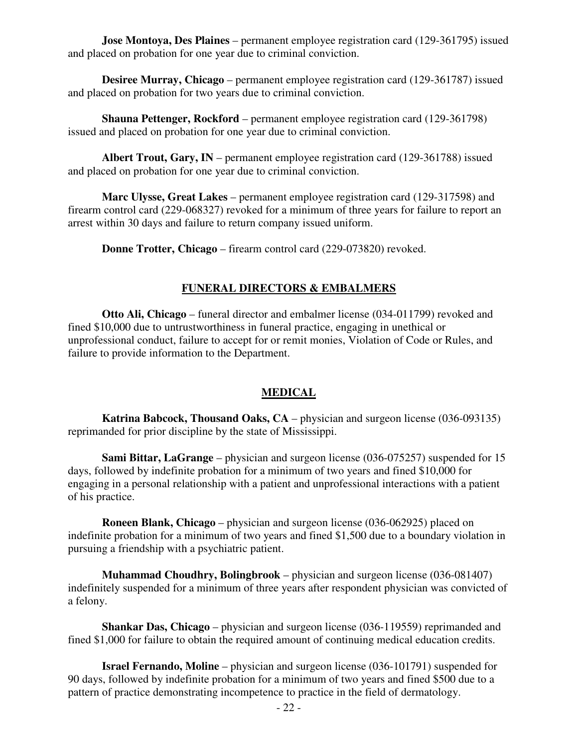**Jose Montoya, Des Plaines** – permanent employee registration card (129-361795) issued and placed on probation for one year due to criminal conviction.

 **Desiree Murray, Chicago** – permanent employee registration card (129-361787) issued and placed on probation for two years due to criminal conviction.

 **Shauna Pettenger, Rockford** – permanent employee registration card (129-361798) issued and placed on probation for one year due to criminal conviction.

 **Albert Trout, Gary, IN** – permanent employee registration card (129-361788) issued and placed on probation for one year due to criminal conviction.

 **Marc Ulysse, Great Lakes** – permanent employee registration card (129-317598) and firearm control card (229-068327) revoked for a minimum of three years for failure to report an arrest within 30 days and failure to return company issued uniform.

**Donne Trotter, Chicago** – firearm control card (229-073820) revoked.

#### **FUNERAL DIRECTORS & EMBALMERS**

**Otto Ali, Chicago** – funeral director and embalmer license (034-011799) revoked and fined \$10,000 due to untrustworthiness in funeral practice, engaging in unethical or unprofessional conduct, failure to accept for or remit monies, Violation of Code or Rules, and failure to provide information to the Department.

#### **MEDICAL**

**Katrina Babcock, Thousand Oaks, CA** – physician and surgeon license (036-093135) reprimanded for prior discipline by the state of Mississippi.

**Sami Bittar, LaGrange** – physician and surgeon license (036-075257) suspended for 15 days, followed by indefinite probation for a minimum of two years and fined \$10,000 for engaging in a personal relationship with a patient and unprofessional interactions with a patient of his practice.

 **Roneen Blank, Chicago** – physician and surgeon license (036-062925) placed on indefinite probation for a minimum of two years and fined \$1,500 due to a boundary violation in pursuing a friendship with a psychiatric patient.

 **Muhammad Choudhry, Bolingbrook** – physician and surgeon license (036-081407) indefinitely suspended for a minimum of three years after respondent physician was convicted of a felony.

 **Shankar Das, Chicago** – physician and surgeon license (036-119559) reprimanded and fined \$1,000 for failure to obtain the required amount of continuing medical education credits.

 **Israel Fernando, Moline** – physician and surgeon license (036-101791) suspended for 90 days, followed by indefinite probation for a minimum of two years and fined \$500 due to a pattern of practice demonstrating incompetence to practice in the field of dermatology.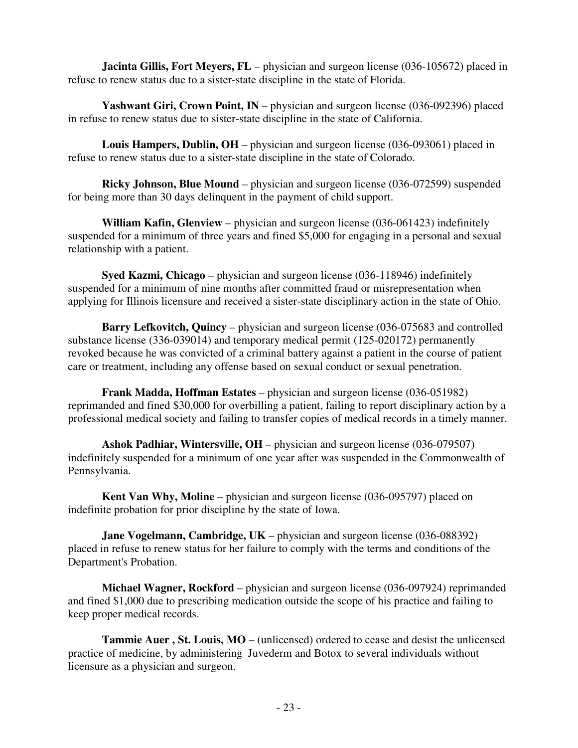**Jacinta Gillis, Fort Meyers, FL** – physician and surgeon license (036-105672) placed in refuse to renew status due to a sister-state discipline in the state of Florida.

 **Yashwant Giri, Crown Point, IN** – physician and surgeon license (036-092396) placed in refuse to renew status due to sister-state discipline in the state of California.

 **Louis Hampers, Dublin, OH** – physician and surgeon license (036-093061) placed in refuse to renew status due to a sister-state discipline in the state of Colorado.

**Ricky Johnson, Blue Mound** – physician and surgeon license (036-072599) suspended for being more than 30 days delinquent in the payment of child support.

 **William Kafin, Glenview** – physician and surgeon license (036-061423) indefinitely suspended for a minimum of three years and fined \$5,000 for engaging in a personal and sexual relationship with a patient.

 **Syed Kazmi, Chicago** – physician and surgeon license (036-118946) indefinitely suspended for a minimum of nine months after committed fraud or misrepresentation when applying for Illinois licensure and received a sister-state disciplinary action in the state of Ohio.

 **Barry Lefkovitch, Quincy** – physician and surgeon license (036-075683 and controlled substance license (336-039014) and temporary medical permit (125-020172) permanently revoked because he was convicted of a criminal battery against a patient in the course of patient care or treatment, including any offense based on sexual conduct or sexual penetration.

 **Frank Madda, Hoffman Estates** – physician and surgeon license (036-051982) reprimanded and fined \$30,000 for overbilling a patient, failing to report disciplinary action by a professional medical society and failing to transfer copies of medical records in a timely manner.

 **Ashok Padhiar, Wintersville, OH** – physician and surgeon license (036-079507) indefinitely suspended for a minimum of one year after was suspended in the Commonwealth of Pennsylvania.

 **Kent Van Why, Moline** – physician and surgeon license (036-095797) placed on indefinite probation for prior discipline by the state of Iowa.

**Jane Vogelmann, Cambridge, UK** – physician and surgeon license (036-088392) placed in refuse to renew status for her failure to comply with the terms and conditions of the Department's Probation.

 **Michael Wagner, Rockford** – physician and surgeon license (036-097924) reprimanded and fined \$1,000 due to prescribing medication outside the scope of his practice and failing to keep proper medical records.

 **Tammie Auer , St. Louis, MO** – (unlicensed) ordered to cease and desist the unlicensed practice of medicine, by administering Juvederm and Botox to several individuals without licensure as a physician and surgeon.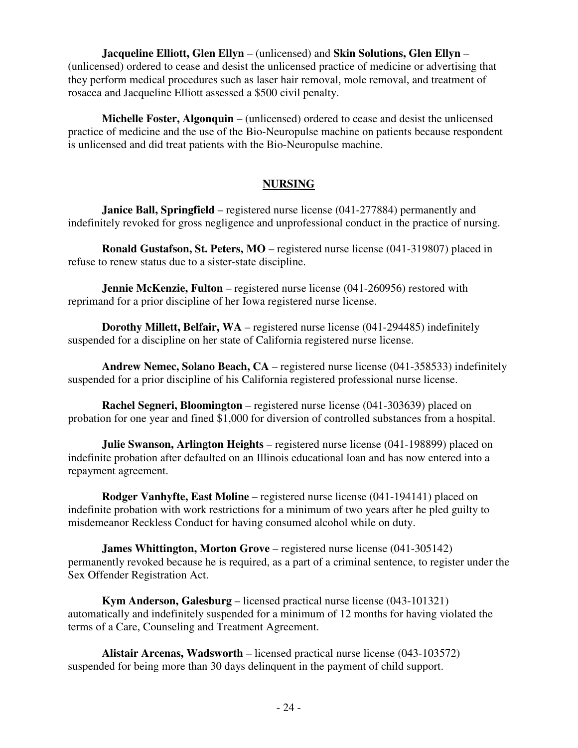**Jacqueline Elliott, Glen Ellyn** – (unlicensed) and **Skin Solutions, Glen Ellyn** – (unlicensed) ordered to cease and desist the unlicensed practice of medicine or advertising that they perform medical procedures such as laser hair removal, mole removal, and treatment of rosacea and Jacqueline Elliott assessed a \$500 civil penalty.

 **Michelle Foster, Algonquin** – (unlicensed) ordered to cease and desist the unlicensed practice of medicine and the use of the Bio-Neuropulse machine on patients because respondent is unlicensed and did treat patients with the Bio-Neuropulse machine.

#### **NURSING**

**Janice Ball, Springfield** – registered nurse license (041-277884) permanently and indefinitely revoked for gross negligence and unprofessional conduct in the practice of nursing.

 **Ronald Gustafson, St. Peters, MO** – registered nurse license (041-319807) placed in refuse to renew status due to a sister-state discipline.

**Jennie McKenzie, Fulton** – registered nurse license (041-260956) restored with reprimand for a prior discipline of her Iowa registered nurse license.

 **Dorothy Millett, Belfair, WA** – registered nurse license (041-294485) indefinitely suspended for a discipline on her state of California registered nurse license.

 **Andrew Nemec, Solano Beach, CA** – registered nurse license (041-358533) indefinitely suspended for a prior discipline of his California registered professional nurse license.

 **Rachel Segneri, Bloomington** – registered nurse license (041-303639) placed on probation for one year and fined \$1,000 for diversion of controlled substances from a hospital.

 **Julie Swanson, Arlington Heights** – registered nurse license (041-198899) placed on indefinite probation after defaulted on an Illinois educational loan and has now entered into a repayment agreement.

 **Rodger Vanhyfte, East Moline** – registered nurse license (041-194141) placed on indefinite probation with work restrictions for a minimum of two years after he pled guilty to misdemeanor Reckless Conduct for having consumed alcohol while on duty.

**James Whittington, Morton Grove** – registered nurse license (041-305142) permanently revoked because he is required, as a part of a criminal sentence, to register under the Sex Offender Registration Act.

 **Kym Anderson, Galesburg** – licensed practical nurse license (043-101321) automatically and indefinitely suspended for a minimum of 12 months for having violated the terms of a Care, Counseling and Treatment Agreement.

 **Alistair Arcenas, Wadsworth** – licensed practical nurse license (043-103572) suspended for being more than 30 days delinquent in the payment of child support.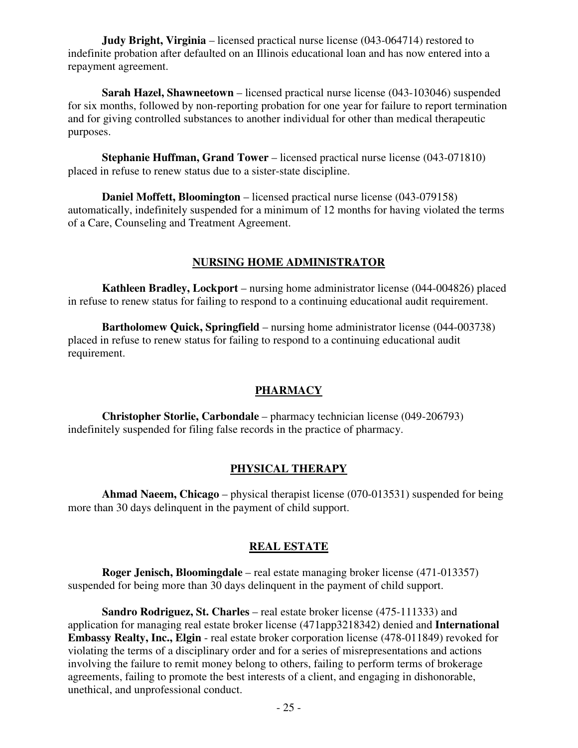**Judy Bright, Virginia** – licensed practical nurse license (043-064714) restored to indefinite probation after defaulted on an Illinois educational loan and has now entered into a repayment agreement.

**Sarah Hazel, Shawneetown** – licensed practical nurse license (043-103046) suspended for six months, followed by non-reporting probation for one year for failure to report termination and for giving controlled substances to another individual for other than medical therapeutic purposes.

 **Stephanie Huffman, Grand Tower** – licensed practical nurse license (043-071810) placed in refuse to renew status due to a sister-state discipline.

 **Daniel Moffett, Bloomington** – licensed practical nurse license (043-079158) automatically, indefinitely suspended for a minimum of 12 months for having violated the terms of a Care, Counseling and Treatment Agreement.

#### **NURSING HOME ADMINISTRATOR**

 **Kathleen Bradley, Lockport** – nursing home administrator license (044-004826) placed in refuse to renew status for failing to respond to a continuing educational audit requirement.

 **Bartholomew Quick, Springfield** – nursing home administrator license (044-003738) placed in refuse to renew status for failing to respond to a continuing educational audit requirement.

#### **PHARMACY**

 **Christopher Storlie, Carbondale** – pharmacy technician license (049-206793) indefinitely suspended for filing false records in the practice of pharmacy.

#### **PHYSICAL THERAPY**

 **Ahmad Naeem, Chicago** – physical therapist license (070-013531) suspended for being more than 30 days delinquent in the payment of child support.

### **REAL ESTATE**

 **Roger Jenisch, Bloomingdale** – real estate managing broker license (471-013357) suspended for being more than 30 days delinquent in the payment of child support.

 **Sandro Rodriguez, St. Charles** – real estate broker license (475-111333) and application for managing real estate broker license (471app3218342) denied and **International Embassy Realty, Inc., Elgin** - real estate broker corporation license (478-011849) revoked for violating the terms of a disciplinary order and for a series of misrepresentations and actions involving the failure to remit money belong to others, failing to perform terms of brokerage agreements, failing to promote the best interests of a client, and engaging in dishonorable, unethical, and unprofessional conduct.